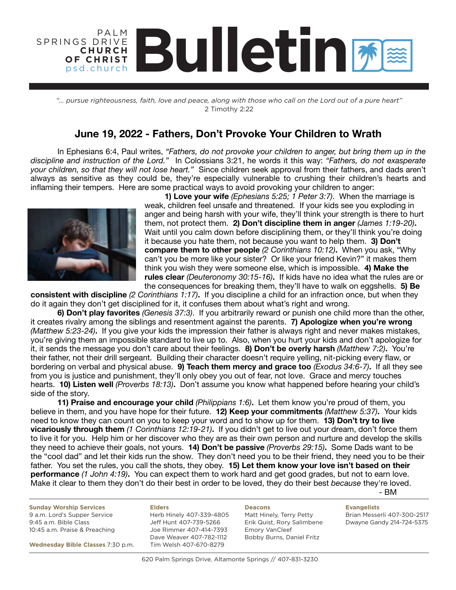### **Bulletin** PA L M SPRINGS DRIVE **C H U R C H OF CHRIST** psd.church

*"... pursue righteousness, faith, love and peace, along with those who call on the Lord out of a pure heart"* 2 Timothy 2:22

### **June 19, 2022 - Fathers, Don't Provoke Your Children to Wrath**

 In Ephesians 6:4, Paul writes, *"Fathers, do not provoke your children to anger, but bring them up in the discipline and instruction of the Lord."* In Colossians 3:21, he words it this way: *"Fathers, do not exasperate your children, so that they will not lose heart."* Since children seek approval from their fathers, and dads aren't always as sensitive as they could be, they're especially vulnerable to crushing their children's hearts and inflaming their tempers. Here are some practical ways to avoid provoking your children to anger: 



**1) Love your wife** *(Ephesians 5:25; 1 Peter 3:7)*. When the marriage is weak, children feel unsafe and threatened. If your kids see you exploding in anger and being harsh with your wife, they'll think your strength is there to hurt them, not protect them. **2) Don't discipline them in anger** *(James 1:19-20)***.**  Wait until you calm down before disciplining them, or they'll think you're doing it because you hate them, not because you want to help them. **3) Don't compare them to other people** *(2 Corinthians 10:12)***.** When you ask, "Why can't you be more like your sister? Or like your friend Kevin?" it makes them think you wish they were someone else, which is impossible. **4) Make the rules clear** *(Deuteronomy 30:15-16)***.** If kids have no idea what the rules are or the consequences for breaking them, they'll have to walk on eggshells. **5) Be** 

**consistent with discipline** *(2 Corinthians 1:17)***.** If you discipline a child for an infraction once, but when they do it again they don't get disciplined for it, it confuses them about what's right and wrong.

**6) Don't play favorites** *(Genesis 37:3)*. If you arbitrarily reward or punish one child more than the other, it creates rivalry among the siblings and resentment against the parents. **7) Apologize when you're wrong**  *(Matthew 5:23-24)***.** If you give your kids the impression their father is always right and never makes mistakes, you're giving them an impossible standard to live up to. Also, when you hurt your kids and don't apologize for it, it sends the message you don't care about their feelings. **8) Don't be overly harsh** *(Matthew 7:2)***.** You're their father, not their drill sergeant. Building their character doesn't require yelling, nit-picking every flaw, or bordering on verbal and physical abuse. **9) Teach them mercy and grace too** *(Exodus 34:6-7)***.** If all they see from you is justice and punishment, they'll only obey you out of fear, not love. Grace and mercy touches hearts. **10) Listen well** *(Proverbs 18:13)***.** Don't assume you know what happened before hearing your child's side of the story.

**11) Praise and encourage your child** *(Philippians 1:6)***.** Let them know you're proud of them, you believe in them, and you have hope for their future. **12) Keep your commitments** *(Matthew 5:37)***.** Your kids need to know they can count on you to keep your word and to show up for them. **13) Don't try to live vicariously through them** *(1 Corinthians 12:19-21)***.** If you didn't get to live out your dream, don't force them to live it for you. Help him or her discover who they are as their own person and nurture and develop the skills they need to achieve their goals, not yours. **14) Don't be passive** *(Proverbs 29:15)***.** Some Dads want to be the "cool dad" and let their kids run the show. They don't need you to be their friend, they need you to be their father. You set the rules, you call the shots, they obey. **15) Let them know your love isn't based on their performance** *(1 John 4:19)***.** You can expect them to work hard and get good grades, but not to earn love. Make it clear to them they don't do their best in order to be loved, they do their best *because* they're loved.  $-$  BM  $-$  BM  $-$ 

| <b>Sunday Worship Services</b>    | <b>Elders</b>            | <b>Deacons</b>             | <b>Evangelists</b>          |
|-----------------------------------|--------------------------|----------------------------|-----------------------------|
| 9 a.m. Lord's Supper Service      | Herb Hinely 407-339-4805 | Matt Hinely, Terry Petty   | Brian Messerli 407-300-2517 |
| 9:45 a.m. Bible Class             | Jeff Hunt 407-739-5266   | Erik Quist, Rory Salimbene | Dwayne Gandy 214-724-5375   |
| 10:45 a.m. Praise & Preaching     | Joe Rimmer 407-414-7393  | <b>Emory VanCleef</b>      |                             |
|                                   | Dave Weaver 407-782-1112 | Bobby Burns, Daniel Fritz  |                             |
| Wednesday Bible Classes 7:30 p.m. | Tim Welsh 407-670-8279   |                            |                             |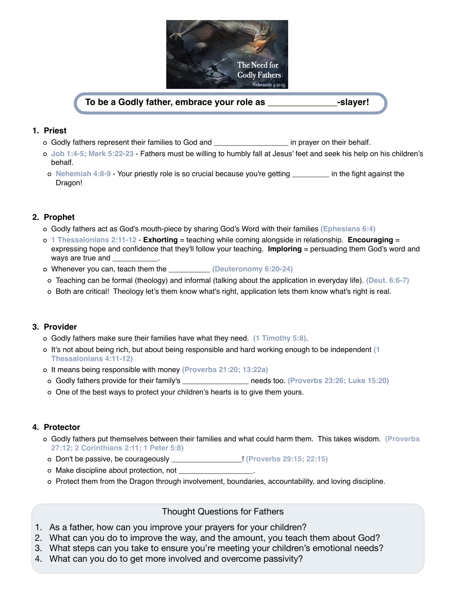

### **To be a Godly father, embrace your role as \_\_\_\_\_\_\_\_\_\_\_\_\_\_-slayer!**

### **1. Priest**

- Godly fathers represent their families to God and \_\_\_\_\_\_\_\_\_\_\_\_\_\_\_\_\_\_ in prayer on their behalf.
- **Job 1:4-5; Mark 5:22-23** Fathers must be willing to humbly fall at Jesus' feet and seek his help on his children's behalf.
- **Nehemiah 4:8-9** Your priestly role is so crucial because you're getting \_\_\_\_\_\_\_\_\_ in the fight against the Dragon!

### **2. Prophet**

- Godly fathers act as God's mouth-piece by sharing God's Word with their families **(Ephesians 6:4)**
- **1 Thessalonians 2:11-12 Exhorting** = teaching while coming alongside in relationship. **Encouraging** = expressing hope and confidence that they'll follow your teaching. **Imploring** = persuading them God's word and ways are true and
- Whenever you can, teach them the \_\_\_\_\_\_\_\_\_\_ **(Deuteronomy 6:20-24)**
- Teaching can be formal (theology) and informal (talking about the application in everyday life). **(Deut. 6:6-7)**
- o Both are critical! Theology let's them know what's right, application lets them know what's right is real.

### **3. Provider**

- Godly fathers make sure their families have what they need. **(1 Timothy 5:8)**.
- It's not about being rich, but about being responsible and hard working enough to be independent **(1 Thessalonians 4:11-12)**
- It means being responsible with money **(Proverbs 21:20; 13:22a)**
- Godly fathers provide for their family's \_\_\_\_\_\_\_\_\_\_\_\_\_\_\_\_ needs too. **(Proverbs 23:26; Luke 15:20)**
- One of the best ways to protect your children's hearts is to give them yours.

### **4. Protector**

- Godly fathers put themselves between their families and what could harm them. This takes wisdom. **(Proverbs 27:12; 2 Corinthians 2:11; 1 Peter 5:8)**
- Don't be passive, be courageously \_\_\_\_\_\_\_\_\_\_\_\_\_\_\_\_\_! **(Proverbs 29:15; 22:15)**
- Make discipline about protection, not \_\_\_\_\_\_\_\_\_\_\_\_\_\_\_\_\_\_.
- Protect them from the Dragon through involvement, boundaries, accountability, and loving discipline.

Thought Questions for Fathers

- 1. As a father, how can you improve your prayers for your children?
- 2. What can you do to improve the way, and the amount, you teach them about God?
- 3. What steps can you take to ensure you're meeting your children's emotional needs?
- 4. What can you do to get more involved and overcome passivity?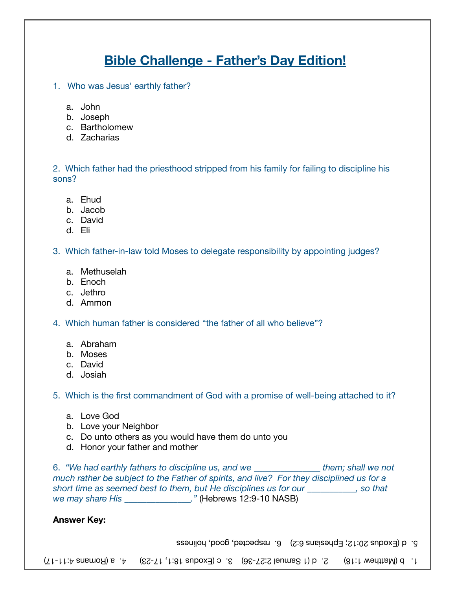## **Bible Challenge - Father's Day Edition!**

- 1. Who was Jesus' earthly father?
	- a. John
	- b. Joseph
	- c. Bartholomew
	- d. Zacharias

2. Which father had the priesthood stripped from his family for failing to discipline his sons?

- a. Ehud
- b. Jacob
- c. David
- d. Eli

3. Which father-in-law told Moses to delegate responsibility by appointing judges?

- a. Methuselah
- b. Enoch
- c. Jethro
- d. Ammon

4. Which human father is considered "the father of all who believe"?

- a. Abraham
- b. Moses
- c. David
- d. Josiah

5. Which is the first commandment of God with a promise of well-being attached to it?

- a. Love God
- b. Love your Neighbor
- c. Do unto others as you would have them do unto you
- d. Honor your father and mother

6. *"We had earthly fathers to discipline us, and we \_\_\_\_\_\_\_\_\_\_\_\_\_\_\_ them; shall we not much rather be subject to the Father of spirits, and live? For they disciplined us for a short time as seemed best to them, but He disciplines us for our \_\_\_\_\_\_\_\_\_\_\_, so that we may share His \_\_\_\_\_\_\_\_\_\_\_\_\_\_\_."* (Hebrews 12:9-10 NASB)

### **Answer Key:**

5. d (Exodus 20:12; Ephesians 6:2) 6. respected, good, holiness

 $(71-11.4$  and  $(81-11.4)$  and  $(13-11.4)$  and  $(21-11.4)$  and  $(31-11.4)$  and  $(41-11.4)$  and  $(51-11.4)$  and  $(61-11.4)$  and  $(71-11.4)$  and  $(81-11.4)$  and  $(91-11.4)$  and  $(11-11.4)$  and  $(11-11.4)$  and  $(11-11.4)$  an